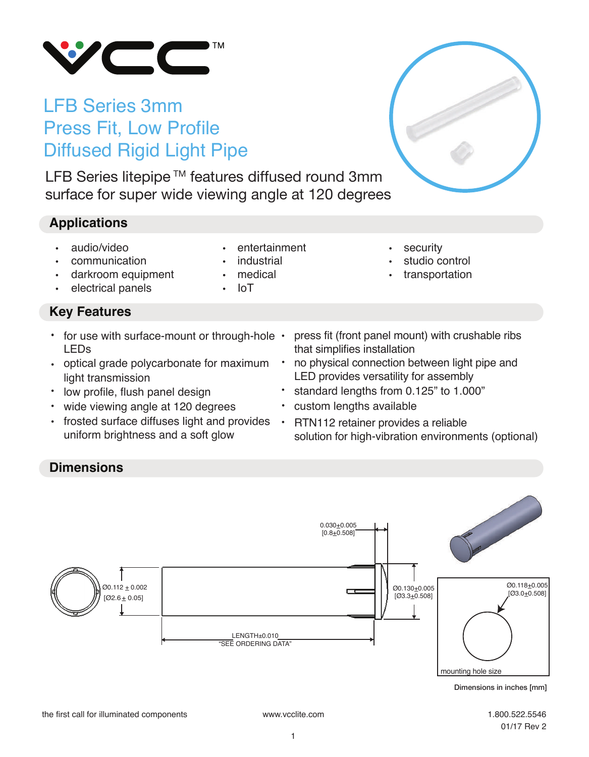

# LFB Series 3mm Press Fit, Low Profile Diffused Rigid Light Pipe

LFB Series litepipe ™ features diffused round 3mm surface for super wide viewing angle at 120 degrees

## **Applications**

- audio/video
- communication
- darkroom equipment
- electrical panels

## **Key Features**

- for use with surface-mount or through-hole LEDs
- optical grade polycarbonate for maximum light transmission
- low profile, flush panel design
- wide viewing angle at 120 degrees •
- frosted surface diffuses light and provides uniform brightness and a soft glow
- entertainment
- **industrial**
- medical
- IoT
- security
- studio control
- transportation
- press fit (front panel mount) with crushable ribs that simplifies installation
- no physical connection between light pipe and LED provides versatility for assembly •
- standard lengths from 0.125" to 1.000"
- custom lengths available
- RTN112 retainer provides a reliable solution for high-vibration environments (optional)

## **Dimensions**



1